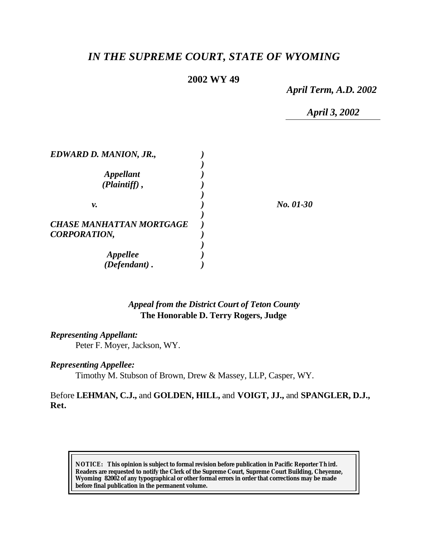# *IN THE SUPREME COURT, STATE OF WYOMING*

# **2002 WY 49**

*April Term, A.D. 2002*

*April 3, 2002*

| EDWARD D. MANION, JR.,          |           |
|---------------------------------|-----------|
|                                 |           |
| <i><b>Appellant</b></i>         |           |
| (Plaintiff),                    |           |
|                                 |           |
| ν.                              | No. 01-30 |
|                                 |           |
| <b>CHASE MANHATTAN MORTGAGE</b> |           |
| <b>CORPORATION,</b>             |           |
|                                 |           |
| <i><b>Appellee</b></i>          |           |
| $(Defendant)$ .                 |           |

## *Appeal from the District Court of Teton County* **The Honorable D. Terry Rogers, Judge**

#### *Representing Appellant:*

Peter F. Moyer, Jackson, WY.

### *Representing Appellee:*

Timothy M. Stubson of Brown, Drew & Massey, LLP, Casper, WY.

## Before **LEHMAN, C.J.,** and **GOLDEN, HILL,** and **VOIGT, JJ.,** and **SPANGLER, D.J., Ret.**

**NOTICE:** *This opinion is subject to formal revision before publication in Pacific Reporter Th ird. Readers are requested to notify the Clerk of the Supreme Court, Supreme Court Building, Cheyenne, Wyoming 82002 of any typographical or other formal errors in order that corrections may be made before final publication in the permanent volume.*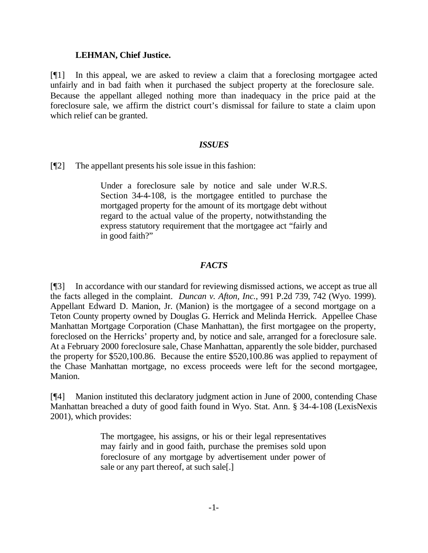#### **LEHMAN, Chief Justice.**

[¶1] In this appeal, we are asked to review a claim that a foreclosing mortgagee acted unfairly and in bad faith when it purchased the subject property at the foreclosure sale. Because the appellant alleged nothing more than inadequacy in the price paid at the foreclosure sale, we affirm the district court's dismissal for failure to state a claim upon which relief can be granted.

### *ISSUES*

[¶2] The appellant presents his sole issue in this fashion:

Under a foreclosure sale by notice and sale under W.R.S. Section 34-4-108, is the mortgagee entitled to purchase the mortgaged property for the amount of its mortgage debt without regard to the actual value of the property, notwithstanding the express statutory requirement that the mortgagee act "fairly and in good faith?"

## *FACTS*

[¶3] In accordance with our standard for reviewing dismissed actions, we accept as true all the facts alleged in the complaint. *Duncan v. Afton, Inc.*, 991 P.2d 739, 742 (Wyo. 1999). Appellant Edward D. Manion, Jr. (Manion) is the mortgagee of a second mortgage on a Teton County property owned by Douglas G. Herrick and Melinda Herrick. Appellee Chase Manhattan Mortgage Corporation (Chase Manhattan), the first mortgagee on the property, foreclosed on the Herricks' property and, by notice and sale, arranged for a foreclosure sale. At a February 2000 foreclosure sale, Chase Manhattan, apparently the sole bidder, purchased the property for \$520,100.86. Because the entire \$520,100.86 was applied to repayment of the Chase Manhattan mortgage, no excess proceeds were left for the second mortgagee, Manion.

[¶4] Manion instituted this declaratory judgment action in June of 2000, contending Chase Manhattan breached a duty of good faith found in Wyo. Stat. Ann. § 34-4-108 (LexisNexis 2001), which provides:

> The mortgagee, his assigns, or his or their legal representatives may fairly and in good faith, purchase the premises sold upon foreclosure of any mortgage by advertisement under power of sale or any part thereof, at such sale[.]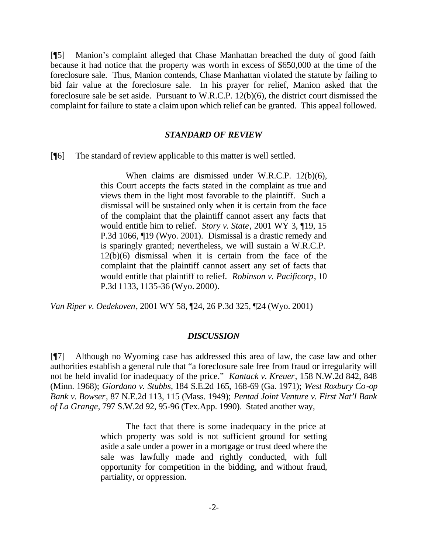[¶5] Manion's complaint alleged that Chase Manhattan breached the duty of good faith because it had notice that the property was worth in excess of \$650,000 at the time of the foreclosure sale. Thus, Manion contends, Chase Manhattan violated the statute by failing to bid fair value at the foreclosure sale. In his prayer for relief, Manion asked that the foreclosure sale be set aside. Pursuant to W.R.C.P. 12(b)(6), the district court dismissed the complaint for failure to state a claim upon which relief can be granted. This appeal followed.

#### *STANDARD OF REVIEW*

[¶6] The standard of review applicable to this matter is well settled.

When claims are dismissed under W.R.C.P. 12(b)(6), this Court accepts the facts stated in the complaint as true and views them in the light most favorable to the plaintiff. Such a dismissal will be sustained only when it is certain from the face of the complaint that the plaintiff cannot assert any facts that would entitle him to relief. *Story v. State*, 2001 WY 3, ¶19, 15 P.3d 1066, ¶19 (Wyo. 2001). Dismissal is a drastic remedy and is sparingly granted; nevertheless, we will sustain a W.R.C.P. 12(b)(6) dismissal when it is certain from the face of the complaint that the plaintiff cannot assert any set of facts that would entitle that plaintiff to relief. *Robinson v. Pacificorp*, 10 P.3d 1133, 1135-36 (Wyo. 2000).

*Van Riper v. Oedekoven*, 2001 WY 58, ¶24, 26 P.3d 325, ¶24 (Wyo. 2001)

#### *DISCUSSION*

[¶7] Although no Wyoming case has addressed this area of law, the case law and other authorities establish a general rule that "a foreclosure sale free from fraud or irregularity will not be held invalid for inadequacy of the price." *Kantack v. Kreuer*, 158 N.W.2d 842, 848 (Minn. 1968); *Giordano v. Stubbs*, 184 S.E.2d 165, 168-69 (Ga. 1971); *West Roxbury Co-op Bank v. Bowser*, 87 N.E.2d 113, 115 (Mass. 1949); *Pentad Joint Venture v. First Nat'l Bank of La Grange*, 797 S.W.2d 92, 95-96 (Tex.App. 1990). Stated another way,

> The fact that there is some inadequacy in the price at which property was sold is not sufficient ground for setting aside a sale under a power in a mortgage or trust deed where the sale was lawfully made and rightly conducted, with full opportunity for competition in the bidding, and without fraud, partiality, or oppression.